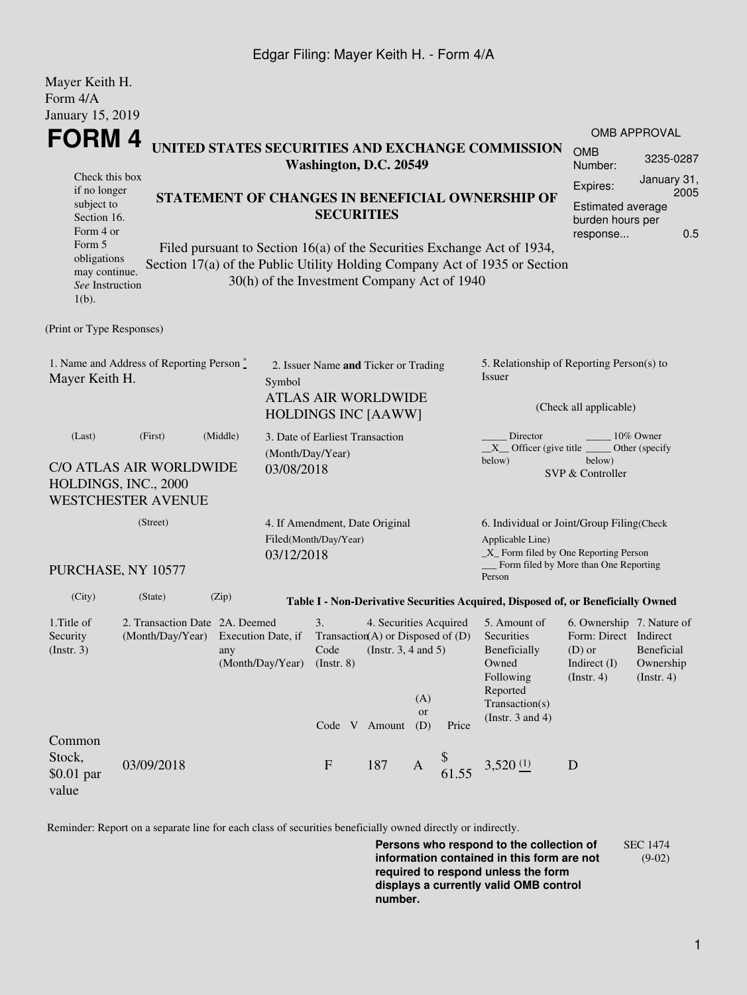## Edgar Filing: Mayer Keith H. - Form 4/A

| Mayer Keith H.<br>Form 4/A                                                                                         |                                                                                                |                                                                                                                                                                                                                                                                              |                                |                                                                                                  |                                                    |                           |                |                                                                                                           |                                                                                                    |                                                                                             |  |
|--------------------------------------------------------------------------------------------------------------------|------------------------------------------------------------------------------------------------|------------------------------------------------------------------------------------------------------------------------------------------------------------------------------------------------------------------------------------------------------------------------------|--------------------------------|--------------------------------------------------------------------------------------------------|----------------------------------------------------|---------------------------|----------------|-----------------------------------------------------------------------------------------------------------|----------------------------------------------------------------------------------------------------|---------------------------------------------------------------------------------------------|--|
| January 15, 2019                                                                                                   |                                                                                                |                                                                                                                                                                                                                                                                              |                                |                                                                                                  |                                                    |                           |                |                                                                                                           |                                                                                                    |                                                                                             |  |
| FORM 4                                                                                                             |                                                                                                |                                                                                                                                                                                                                                                                              |                                |                                                                                                  |                                                    |                           |                |                                                                                                           |                                                                                                    | OMB APPROVAL                                                                                |  |
|                                                                                                                    | UNITED STATES SECURITIES AND EXCHANGE COMMISSION<br>Washington, D.C. 20549                     |                                                                                                                                                                                                                                                                              |                                |                                                                                                  |                                                    |                           |                | <b>OMB</b><br>Number:                                                                                     | 3235-0287                                                                                          |                                                                                             |  |
| Check this box<br>if no longer<br>subject to<br>Section 16.<br>Form 4 or<br>Form 5<br>obligations<br>may continue. |                                                                                                | STATEMENT OF CHANGES IN BENEFICIAL OWNERSHIP OF<br><b>SECURITIES</b><br>Filed pursuant to Section 16(a) of the Securities Exchange Act of 1934,<br>Section 17(a) of the Public Utility Holding Company Act of 1935 or Section<br>30(h) of the Investment Company Act of 1940 |                                |                                                                                                  |                                                    |                           |                |                                                                                                           |                                                                                                    | January 31,<br>Expires:<br>2005<br>Estimated average<br>burden hours per<br>0.5<br>response |  |
| See Instruction<br>$1(b)$ .                                                                                        |                                                                                                |                                                                                                                                                                                                                                                                              |                                |                                                                                                  |                                                    |                           |                |                                                                                                           |                                                                                                    |                                                                                             |  |
| (Print or Type Responses)                                                                                          |                                                                                                |                                                                                                                                                                                                                                                                              |                                |                                                                                                  |                                                    |                           |                |                                                                                                           |                                                                                                    |                                                                                             |  |
| 1. Name and Address of Reporting Person *<br>Mayer Keith H.                                                        |                                                                                                |                                                                                                                                                                                                                                                                              | Symbol                         | 2. Issuer Name and Ticker or Trading<br><b>ATLAS AIR WORLDWIDE</b><br><b>HOLDINGS INC [AAWW]</b> |                                                    |                           |                | 5. Relationship of Reporting Person(s) to<br>Issuer<br>(Check all applicable)                             |                                                                                                    |                                                                                             |  |
| (Last)                                                                                                             | (First)<br><b>C/O ATLAS AIR WORLDWIDE</b><br>HOLDINGS, INC., 2000<br><b>WESTCHESTER AVENUE</b> | (Middle)                                                                                                                                                                                                                                                                     | (Month/Day/Year)<br>03/08/2018 | 3. Date of Earliest Transaction                                                                  |                                                    |                           |                | Director<br>$X$ Officer (give title $\overline{\phantom{a}}$<br>below)                                    | below)<br>SVP & Controller                                                                         | 10% Owner<br>Other (specify                                                                 |  |
| (Street)                                                                                                           |                                                                                                |                                                                                                                                                                                                                                                                              |                                | 4. If Amendment, Date Original<br>Filed(Month/Day/Year)<br>03/12/2018                            |                                                    |                           |                | 6. Individual or Joint/Group Filing(Check<br>Applicable Line)<br>$\_X$ Form filed by One Reporting Person |                                                                                                    |                                                                                             |  |
|                                                                                                                    | PURCHASE, NY 10577                                                                             |                                                                                                                                                                                                                                                                              |                                |                                                                                                  |                                                    |                           |                | Person                                                                                                    | Form filed by More than One Reporting                                                              |                                                                                             |  |
| (City)                                                                                                             | (State)                                                                                        | (Zip)                                                                                                                                                                                                                                                                        |                                |                                                                                                  |                                                    |                           |                | Table I - Non-Derivative Securities Acquired, Disposed of, or Beneficially Owned                          |                                                                                                    |                                                                                             |  |
| 1. Title of<br>Security<br>$($ Instr. 3 $)$                                                                        | (Month/Day/Year) Execution Date, if Transaction(A) or Disposed of (D) Securities               | 2. Transaction Date 2A. Deemed<br>any                                                                                                                                                                                                                                        | (Month/Day/Year)               | 3.<br>Code<br>$($ Instr. 8 $)$                                                                   | 4. Securities Acquired<br>(Instr. $3, 4$ and $5$ ) | (A)                       |                | 5. Amount of<br>Beneficially<br>Owned<br>Following<br>Reported<br>Transaction(s)                          | 6. Ownership 7. Nature of<br>Form: Direct Indirect<br>$(D)$ or<br>Indirect (I)<br>$($ Instr. 4 $)$ | Beneficial<br>Ownership<br>$($ Instr. 4 $)$                                                 |  |
| Common<br>Stock,<br>$$0.01$ par<br>value                                                                           | 03/09/2018                                                                                     |                                                                                                                                                                                                                                                                              |                                | Code V Amount<br>$\mathbf{F}$                                                                    | 187                                                | or<br>(D)<br>$\mathbf{A}$ | Price<br>61.55 | (Instr. $3$ and $4$ )<br>3,520(1)                                                                         | D                                                                                                  |                                                                                             |  |

Reminder: Report on a separate line for each class of securities beneficially owned directly or indirectly.

**Persons who respond to the collection of information contained in this form are not required to respond unless the form displays a currently valid OMB control number.** SEC 1474 (9-02)